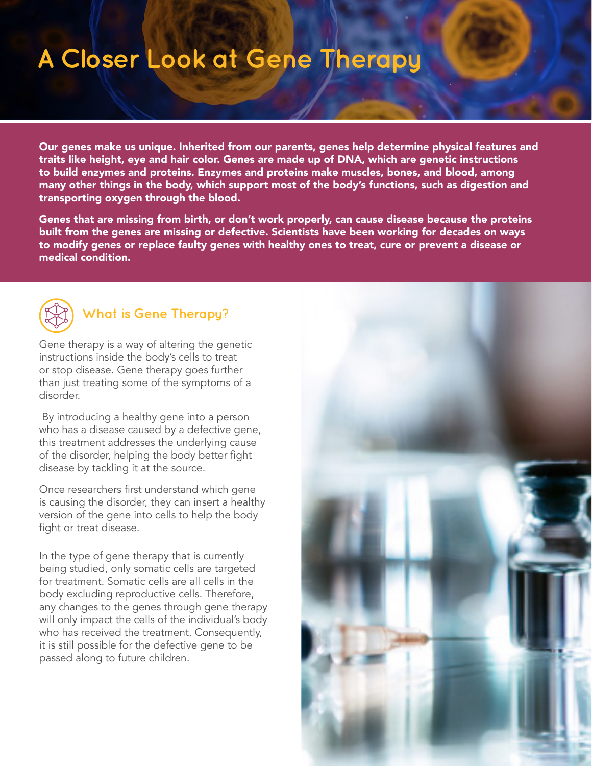## **A Closer Look at Gene Therapy**

Our genes make us unique. Inherited from our parents, genes help determine physical features and traits like height, eye and hair color. Genes are made up of DNA, which are genetic instructions to build enzymes and proteins. Enzymes and proteins make muscles, bones, and blood, among many other things in the body, which support most of the body's functions, such as digestion and transporting oxygen through the blood.

Genes that are missing from birth, or don't work properly, can cause disease because the proteins built from the genes are missing or defective. Scientists have been working for decades on ways to modify genes or replace faulty genes with healthy ones to treat, cure or prevent a disease or medical condition.



## **What is Gene Therapy?**

Gene therapy is a way of altering the genetic instructions inside the body's cells to treat or stop disease. Gene therapy goes further than just treating some of the symptoms of a disorder.

 By introducing a healthy gene into a person who has a disease caused by a defective gene, this treatment addresses the underlying cause of the disorder, helping the body better fight disease by tackling it at the source.

Once researchers first understand which gene is causing the disorder, they can insert a healthy version of the gene into cells to help the body fight or treat disease.

In the type of gene therapy that is currently being studied, only somatic cells are targeted for treatment. Somatic cells are all cells in the body excluding reproductive cells. Therefore, any changes to the genes through gene therapy will only impact the cells of the individual's body who has received the treatment. Consequently, it is still possible for the defective gene to be passed along to future children.

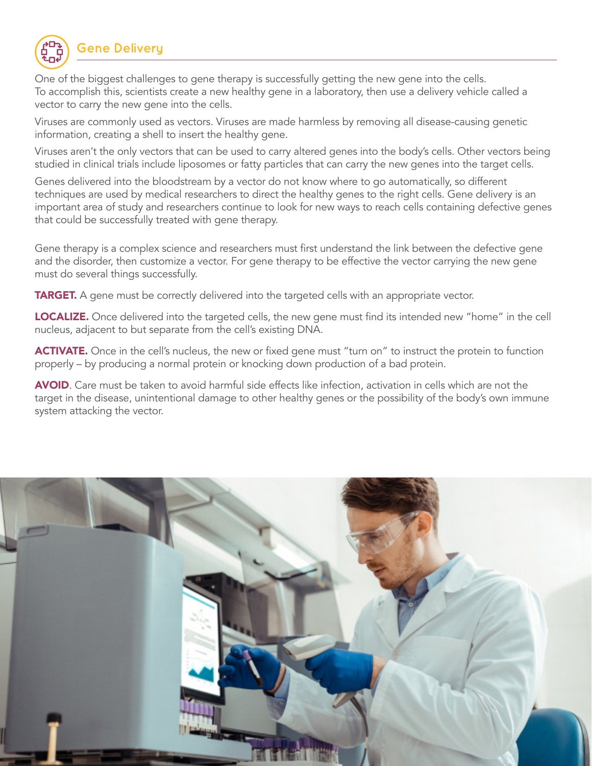

One of the biggest challenges to gene therapy is successfully getting the new gene into the cells. To accomplish this, scientists create a new healthy gene in a laboratory, then use a delivery vehicle called a vector to carry the new gene into the cells.

Viruses are commonly used as vectors. Viruses are made harmless by removing all disease-causing genetic information, creating a shell to insert the healthy gene.

Viruses aren't the only vectors that can be used to carry altered genes into the body's cells. Other vectors being studied in clinical trials include liposomes or fatty particles that can carry the new genes into the target cells.

Genes delivered into the bloodstream by a vector do not know where to go automatically, so different techniques are used by medical researchers to direct the healthy genes to the right cells. Gene delivery is an important area of study and researchers continue to look for new ways to reach cells containing defective genes that could be successfully treated with gene therapy.

Gene therapy is a complex science and researchers must first understand the link between the defective gene and the disorder, then customize a vector. For gene therapy to be effective the vector carrying the new gene must do several things successfully.

**TARGET.** A gene must be correctly delivered into the targeted cells with an appropriate vector.

LOCALIZE. Once delivered into the targeted cells, the new gene must find its intended new "home" in the cell nucleus, adjacent to but separate from the cell's existing DNA.

ACTIVATE. Once in the cell's nucleus, the new or fixed gene must "turn on" to instruct the protein to function properly – by producing a normal protein or knocking down production of a bad protein.

AVOID. Care must be taken to avoid harmful side effects like infection, activation in cells which are not the target in the disease, unintentional damage to other healthy genes or the possibility of the body's own immune system attacking the vector.